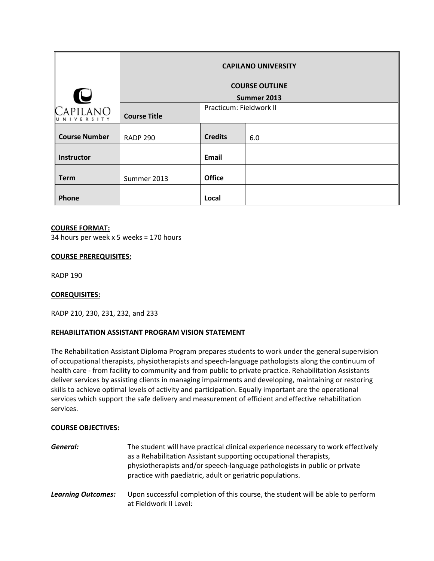|                                 | <b>CAPILANO UNIVERSITY</b> |                         |     |
|---------------------------------|----------------------------|-------------------------|-----|
|                                 | <b>COURSE OUTLINE</b>      |                         |     |
| U                               | Summer 2013                |                         |     |
| Capilano<br>U N I V E R S I T Y | <b>Course Title</b>        | Practicum: Fieldwork II |     |
| <b>Course Number</b>            | <b>RADP 290</b>            | <b>Credits</b>          | 6.0 |
| Instructor                      |                            | Email                   |     |
| <b>Term</b>                     | Summer 2013                | <b>Office</b>           |     |
| <b>Phone</b>                    |                            | Local                   |     |

# **COURSE FORMAT:**

34 hours per week x 5 weeks = 170 hours

## **COURSE PREREQUISITES:**

RADP 190

#### **COREQUISITES:**

RADP 210, 230, 231, 232, and 233

# **REHABILITATION ASSISTANT PROGRAM VISION STATEMENT**

The Rehabilitation Assistant Diploma Program prepares students to work under the general supervision of occupational therapists, physiotherapists and speech‐language pathologists along the continuum of health care ‐ from facility to community and from public to private practice. Rehabilitation Assistants deliver services by assisting clients in managing impairments and developing, maintaining or restoring skills to achieve optimal levels of activity and participation. Equally important are the operational services which support the safe delivery and measurement of efficient and effective rehabilitation services.

#### **COURSE OBJECTIVES:**

| General:                  | The student will have practical clinical experience necessary to work effectively<br>as a Rehabilitation Assistant supporting occupational therapists,<br>physiotherapists and/or speech-language pathologists in public or private<br>practice with paediatric, adult or geriatric populations. |
|---------------------------|--------------------------------------------------------------------------------------------------------------------------------------------------------------------------------------------------------------------------------------------------------------------------------------------------|
| <b>Learning Outcomes:</b> | Upon successful completion of this course, the student will be able to perform<br>at Fieldwork II Level:                                                                                                                                                                                         |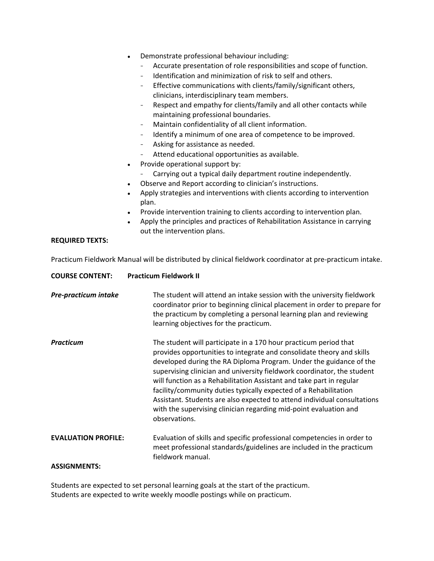- Demonstrate professional behaviour including:
	- Accurate presentation of role responsibilities and scope of function.
	- Identification and minimization of risk to self and others.
	- Effective communications with clients/family/significant others, clinicians, interdisciplinary team members.
	- Respect and empathy for clients/family and all other contacts while maintaining professional boundaries.
	- Maintain confidentiality of all client information.
	- Identify a minimum of one area of competence to be improved.
	- Asking for assistance as needed.
	- Attend educational opportunities as available.
- Provide operational support by:
	- Carrying out a typical daily department routine independently.
- Observe and Report according to clinician's instructions.
- Apply strategies and interventions with clients according to intervention plan.
- Provide intervention training to clients according to intervention plan.
- Apply the principles and practices of Rehabilitation Assistance in carrying out the intervention plans.

## **REQUIRED TEXTS:**

Practicum Fieldwork Manual will be distributed by clinical fieldwork coordinator at pre‐practicum intake.

| <b>COURSE CONTENT:</b>     | <b>Practicum Fieldwork II</b>                                                                                                                                                                                                                                                                                                                                                                                                                                                                                                                                                                            |
|----------------------------|----------------------------------------------------------------------------------------------------------------------------------------------------------------------------------------------------------------------------------------------------------------------------------------------------------------------------------------------------------------------------------------------------------------------------------------------------------------------------------------------------------------------------------------------------------------------------------------------------------|
| Pre-practicum intake       | The student will attend an intake session with the university fieldwork<br>coordinator prior to beginning clinical placement in order to prepare for<br>the practicum by completing a personal learning plan and reviewing<br>learning objectives for the practicum.                                                                                                                                                                                                                                                                                                                                     |
| <b>Practicum</b>           | The student will participate in a 170 hour practicum period that<br>provides opportunities to integrate and consolidate theory and skills<br>developed during the RA Diploma Program. Under the guidance of the<br>supervising clinician and university fieldwork coordinator, the student<br>will function as a Rehabilitation Assistant and take part in regular<br>facility/community duties typically expected of a Rehabilitation<br>Assistant. Students are also expected to attend individual consultations<br>with the supervising clinician regarding mid-point evaluation and<br>observations. |
| <b>EVALUATION PROFILE:</b> | Evaluation of skills and specific professional competencies in order to<br>meet professional standards/guidelines are included in the practicum<br>fieldwork manual.                                                                                                                                                                                                                                                                                                                                                                                                                                     |
| <b>ASSIGNMENTS:</b>        |                                                                                                                                                                                                                                                                                                                                                                                                                                                                                                                                                                                                          |

Students are expected to set personal learning goals at the start of the practicum. Students are expected to write weekly moodle postings while on practicum.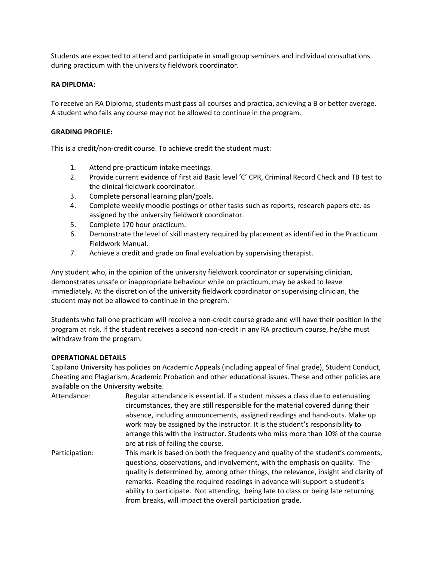Students are expected to attend and participate in small group seminars and individual consultations during practicum with the university fieldwork coordinator.

## **RA DIPLOMA:**

To receive an RA Diploma, students must pass all courses and practica, achieving a B or better average. A student who fails any course may not be allowed to continue in the program.

### **GRADING PROFILE:**

This is a credit/non‐credit course. To achieve credit the student must:

- 1. Attend pre‐practicum intake meetings.
- 2. Provide current evidence of first aid Basic level 'C' CPR, Criminal Record Check and TB test to the clinical fieldwork coordinator.
- 3. Complete personal learning plan/goals.
- 4. Complete weekly moodle postings or other tasks such as reports, research papers etc. as assigned by the university fieldwork coordinator.
- 5. Complete 170 hour practicum.
- 6. Demonstrate the level of skill mastery required by placement as identified in the Practicum Fieldwork Manual.
- 7. Achieve a credit and grade on final evaluation by supervising therapist.

Any student who, in the opinion of the university fieldwork coordinator or supervising clinician, demonstrates unsafe or inappropriate behaviour while on practicum, may be asked to leave immediately. At the discretion of the university fieldwork coordinator or supervising clinician, the student may not be allowed to continue in the program.

Students who fail one practicum will receive a non‐credit course grade and will have their position in the program at risk. If the student receives a second non‐credit in any RA practicum course, he/she must withdraw from the program.

# **OPERATIONAL DETAILS**

Capilano University has policies on Academic Appeals (including appeal of final grade), Student Conduct, Cheating and Plagiarism, Academic Probation and other educational issues. These and other policies are available on the University website.

| Attendance:    | Regular attendance is essential. If a student misses a class due to extenuating<br>circumstances, they are still responsible for the material covered during their<br>absence, including announcements, assigned readings and hand-outs. Make up<br>work may be assigned by the instructor. It is the student's responsibility to<br>arrange this with the instructor. Students who miss more than 10% of the course<br>are at risk of failing the course.                             |
|----------------|----------------------------------------------------------------------------------------------------------------------------------------------------------------------------------------------------------------------------------------------------------------------------------------------------------------------------------------------------------------------------------------------------------------------------------------------------------------------------------------|
| Participation: | This mark is based on both the frequency and quality of the student's comments,<br>questions, observations, and involvement, with the emphasis on quality. The<br>quality is determined by, among other things, the relevance, insight and clarity of<br>remarks. Reading the required readings in advance will support a student's<br>ability to participate. Not attending, being late to class or being late returning<br>from breaks, will impact the overall participation grade. |